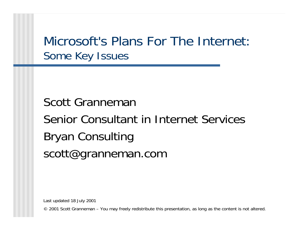Microsoft's Plans For The Internet: Some Key Issues

Scott Granneman Senior Consultant in Internet Services Bryan Consulting scott@granneman.com

Last updated 18 July 2001

© 2001 Scott Granneman – You may freely redistribute this presentation, as long as the content is not altered.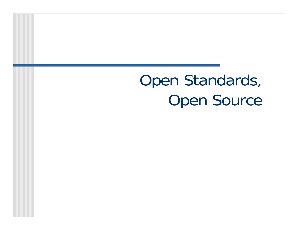Open Standards, Open Source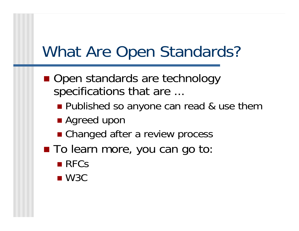# What Are Open Standards?

- Open standards are technology specifications that are ...
	- **Published so anyone can read & use them**
	- Agreed upon
	- Changed after a review process
- To learn more, you can go to:
	- RFCs
	- $\_$  W3C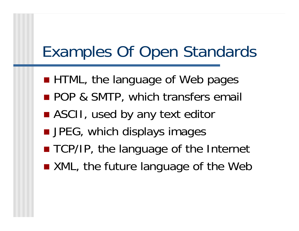# Examples Of Open Standards

- **HTML, the language of Web pages**
- **POP & SMTP, which transfers email**
- ASCII, used by any text editor
- JPEG, which displays images
- $\mathcal{L}_{\mathcal{A}}$ ■ TCP/IP, the language of the Internet
- XML, the future language of the Web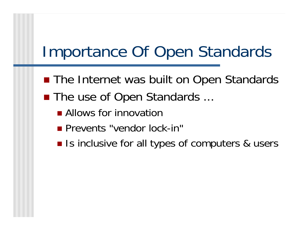# Importance Of Open Standards

- The Internet was built on Open Standards
- The use of Open Standards ...
	- **Allows for innovation**
	- **Prevents "vendor lock-in"**
	- Is inclusive for all types of computers & users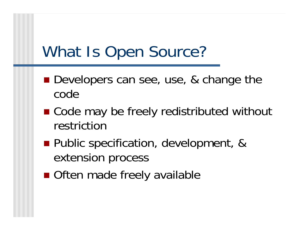# What Is Open Source?

- Developers can see, use, & change the code
- Code may be freely redistributed without restriction
- **Public specification, development, &** extension process
- Often made freely available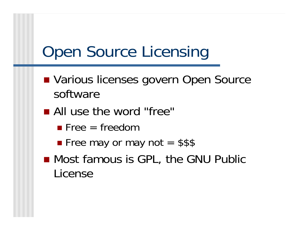# Open Source Licensing

- Various licenses govern Open Source software
- All use the word "free"
	- $\blacksquare$  Free = freedom
	- **Free may or may not = \$\$\$**
- Most famous is GPL, the GNU Public License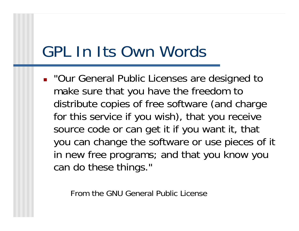# GPL In Its Own Words

**.** "Our General Public Licenses are designed to make sure that you have the freedom to distribute copies of free software (and charge for this service if you wish), that you receive source code or can get it if you want it, that you can change the software or use pieces of it in new free programs; and that you know you can do these things."

From the GNU General Public License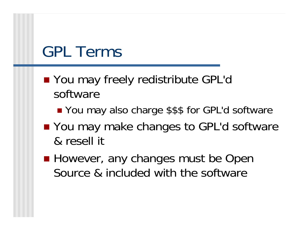### GPL Terms

- You may freely redistribute GPL'o software
	- You may also charge \$\$\$ for GPL'd software
- You may make changes to GPL'd software & resell it
- **However, any changes must be Open** Source & included with the software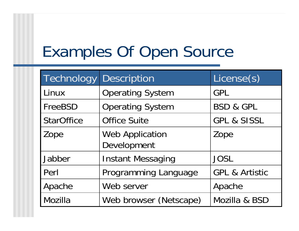# Examples Of Open Source

| Technology        | <b>Description</b>                    | License(s)                |
|-------------------|---------------------------------------|---------------------------|
| Linux             | <b>Operating System</b>               | GPL                       |
| FreeBSD           | <b>Operating System</b>               | <b>BSD &amp; GPL</b>      |
| <b>StarOffice</b> | <b>Office Suite</b>                   | <b>GPL &amp; SISSL</b>    |
| Zope              | <b>Web Application</b><br>Development | Zope                      |
| Jabber            | <b>Instant Messaging</b>              | <b>JOSL</b>               |
| Perl              | Programming Language                  | <b>GPL &amp; Artistic</b> |
| Apache            | Web server                            | Apache                    |
| Mozilla           | Web browser (Netscape)                | Mozilla & BSD             |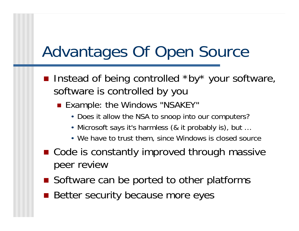# Advantages Of Open Source

- Instead of being controlled \*by\* your software, software is controlled by you
	- Example: the Windows "NSAKEY"
		- Does it allow the NSA to snoop into our computers?
		- Microsoft says it's harmless (& it probably is), but …
		- We have to trust them, since Windows is closed source
- Code is constantly improved through massive peer review
- Software can be ported to other platforms
- **Better security because more eyes**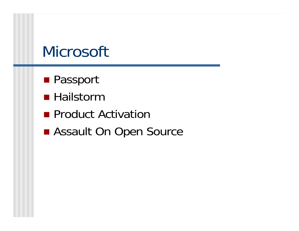# **Microsoft**

- Passport
- Hailstorm
- **Product Activation**
- Assault On Open Source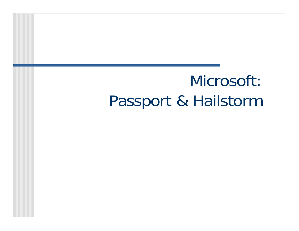# Microsoft: Passport & Hailstorm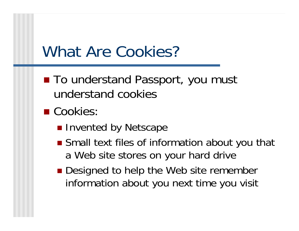### What Are Cookies?

- To understand Passport, you must understand cookies
- Cookies
	- **n** Invented by Netscape
	- Small text files of information about you that a Web site stores on your hard drive
	- Designed to help the Web site remember information about you next time you visit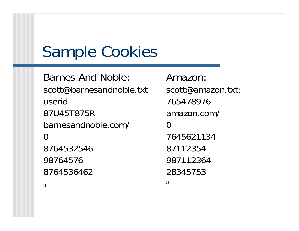# Sample Cookies

Barnes And Noble: scott@barnesandnoble.txt: userid 87U45T875R barnesandnoble.com/  $\Omega$ 8764532546 98764576 8764536462

Amazon: scott@amazon.txt: 765478976 amazon.com/  $\Omega$ 7645621134 87112354 987112364 28345753 \*

\*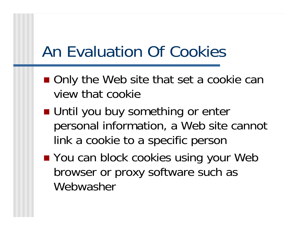# An Evaluation Of Cookies

- Only the Web site that set a cookie can view that cookie
- Until you buy something or enter personal information, a Web site cannot link a cookie to a specific person
- You can block cookies using your Web browser or proxy software such as Webwasher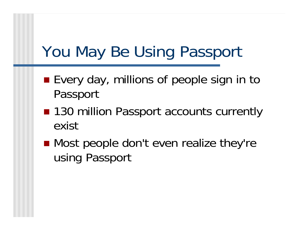# You May Be Using Passport

- Every day, millions of people sign in to Passport
- 130 million Passport accounts currently exist
- Most people don't even realize they're using Passport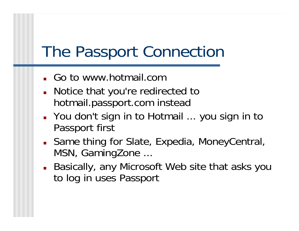# The Passport Connection

- Go to www.hotmail.com
- **Notice that you're redirected to** hotmail.passport.com instead
- You don't sign in to Hotmail ... you sign in to Passport first
- Same thing for Slate, Expedia, MoneyCentral, MSN, GamingZone ...
- Basically, any Microsoft Web site that asks you to log in uses Passport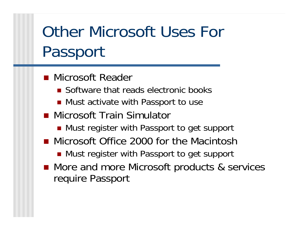# Other Microsoft Uses For Passport

- **Nicrosoft Reader** 
	- **Software that reads electronic books**
	- Must activate with Passport to use
- Microsoft Train Simulator
	- Must register with Passport to get support
- Microsoft Office 2000 for the Macintosh

■ Must register with Passport to get support

■ More and more Microsoft products & services require Passport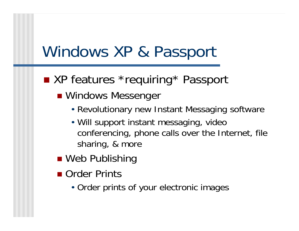# Windows XP & Passport

#### ■ XP features \*requiring\* Passport

- Windows Messenger
	- Revolutionary new Instant Messaging software
	- Will support instant messaging, video conferencing, phone calls over the Internet, file sharing, & more
- Web Publishing
- Order Prints
	- Order prints of your electronic images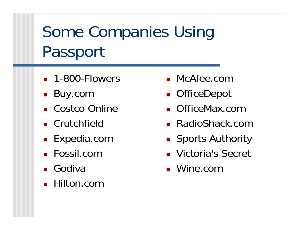# Some Companies Using Passport

- **1-800-Flowers**
- Buy.com
- Costco Online
- **Crutchfield**
- Expedia.com
- Fossil.com
- Godiva
- Hilton.com
- McAfee.com
- OfficeDepot
- OfficeMax.com
- RadioShack.com
- **B** Sports Authority
- Victoria's Secret
- Wine.com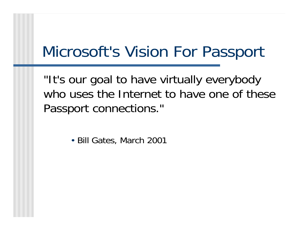# Microsoft's Vision For Passport

"It's our goal to have virtually everybody who uses the Internet to have one of these Passport connections."

• Bill Gates, March 2001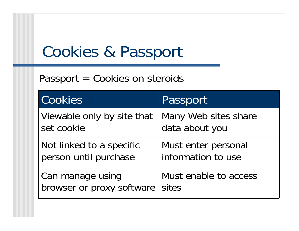# Cookies & Passport

#### Passport = Cookies on steroids

| Cookies                    | Passport              |
|----------------------------|-----------------------|
| Viewable only by site that | Many Web sites share  |
| set cookie                 | data about you        |
| Not linked to a specific   | Must enter personal   |
| person until purchase      | information to use    |
| Can manage using           | Must enable to access |
| browser or proxy software  | sites                 |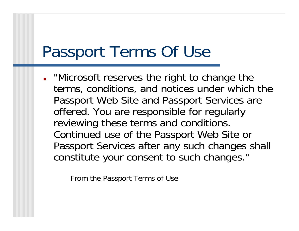# Passport Terms Of Use

**.** "Microsoft reserves the right to change the terms, conditions, and notices under which the Passport Web Site and Passport Services are offered. You are responsible for regularly reviewing these terms and conditions. Continued use of the Passport Web Site or Passport Services after any such changes shall constitute your consent to such changes."

From the Passport Terms of Use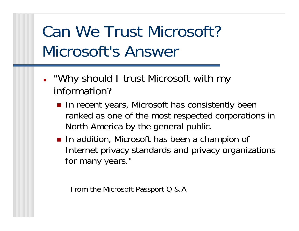# Can We Trust Microsoft? Microsoft's Answer

- . "Why should I trust Microsoft with my information?
	- **n** In recent years, Microsoft has consistently been ranked as one of the most respected corporations in North America by the general public.
	- **Iom** In addition, Microsoft has been a champion of Internet privacy standards and privacy organizations for many years."

From the Microsoft Passport Q & A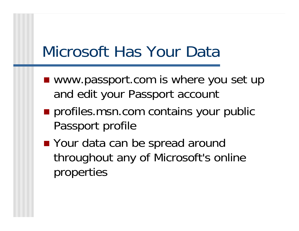# Microsoft Has Your Data

- www.passport.com is where you set up and edit your Passport account
- **profiles.msn.com contains your public** Passport profile
- Your data can be spread around throughout any of Microsoft's online properties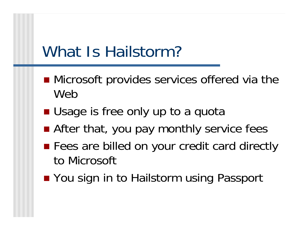# What Is Hailstorm?

- **Microsoft provides services offered via the** Web
- **Usage is free only up to a quota**
- After that, you pay monthly service fees
- **Fees are billed on your credit card directly** to Microsoft
- You sign in to Hailstorm using Passport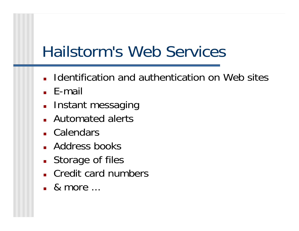# Hailstorm's Web Services

- **I** Identification and authentication on Web sites
- E-mail
- **Instant messaging**
- Automated alerts
- Calendars
- **Address books**
- **Storage of files**
- Credit card numbers
- & more ...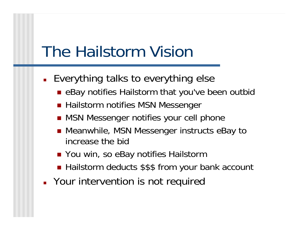# The Hailstorm Vision

- **E**verything talks to everything else
	- eBay notifies Hailstorm that you've been outbic
	- Hailstorm notifies MSN Messenger
	- MSN Messenger notifies your cell phone
	- Meanwhile, MSN Messenger instructs eBay to increase the bid
	- You win, so eBay notifies Hailstorm
	- Hailstorm deducts \$\$\$ from your bank account
- **PACA Provention is not required Provention** is not required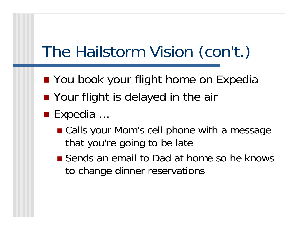# The Hailstorm Vision (con't.)

- You book your flight home on Expedia
- **Your flight is delayed in the air**
- $\blacksquare$  Expedia  $\ldots$ 
	- Calls your Mom's cell phone with a message that you're going to be late
	- **Sends an email to Dad at home so he knows** to change dinner reservations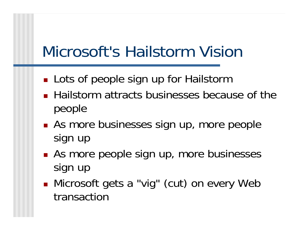# Microsoft's Hailstorm Vision

- H ■ Lots of people sign up for Hailstorm
- **Hailstorm attracts businesses because of the** people
- Π **As more businesses sign up, more people** sign up
- H ■ As more people sign up, more businesses sign up
- H Microsoft gets a "vig" (cut) on every Web transaction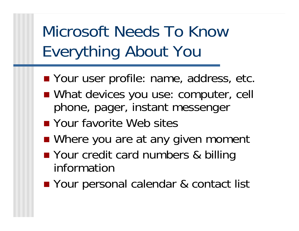# Microsoft Needs To Know Everything About You

- Your user profile: name, address, etc.
- What devices you use: computer, cell phone, pager, instant messenger
- Your favorite Web sites
- Where you are at any given moment
- Your credit card numbers & billing information
- Your personal calendar & contact list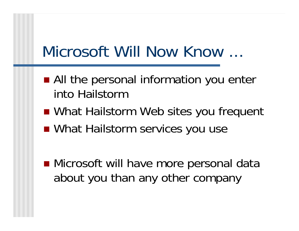# Microsoft Will Now Know ...

- All the personal information you enter into Hailstorm
- What Hailstorm Web sites you frequent
- What Hailstorm services you use
- Microsoft will have more personal data about you than any other company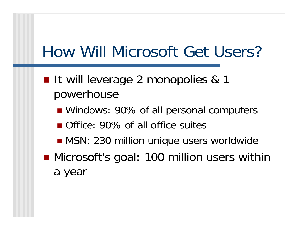# How Will Microsoft Get Users?

- It will leverage 2 monopolies & 1 powerhouse
	- Windows: 90% of all personal computers
	- Office: 90% of all office suites
	- MSN: 230 million unique users worldwide
- Microsoft's goal: 100 million users within a year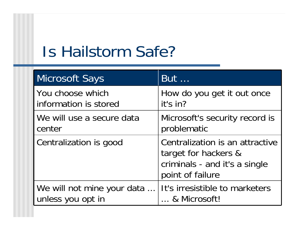# Is Hailstorm Safe?

| <b>Microsoft Says</b>      | <b>But</b>                                                                                                   |
|----------------------------|--------------------------------------------------------------------------------------------------------------|
| You choose which           | How do you get it out once                                                                                   |
| information is stored      | it's in?                                                                                                     |
| We will use a secure data  | Microsoft's security record is                                                                               |
| center                     | problematic                                                                                                  |
| Centralization is good     | Centralization is an attractive<br>target for hackers &<br>criminals - and it's a single<br>point of failure |
| We will not mine your data | It's irresistible to marketers                                                                               |
| unless you opt in          | & Microsoft!                                                                                                 |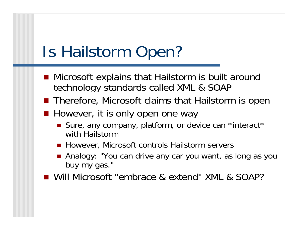# Is Hailstorm Open?

- Microsoft explains that Hailstorm is built around technology standards called XML & SOAP
- **Therefore, Microsoft claims that Hailstorm is open**
- However, it is only open one way
	- Sure, any company, platform, or device can \*interact\* with Hailstorm
	- However, Microsoft controls Hailstorm servers
	- Analogy: "You can drive any car you want, as long as you buy my gas."
- Will Microsoft "embrace & extend" XML & SOAP?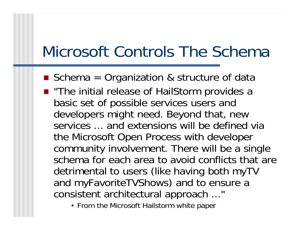# Microsoft Controls The Schema

- Schema = Organization & structure of data
- "The initial release of HailStorm provides a basic set of possible services users and developers might need. Beyond that, new services ... and extensions will be defined via the Microsoft Open Process with developer community involvement. There will be a single schema for each area to avoid conflicts that are detrimental to users (like having both myTV and myFavoriteTVShows) and to ensure a consistent architectural approach ..."
	- From the Microsoft Hailstorm white paper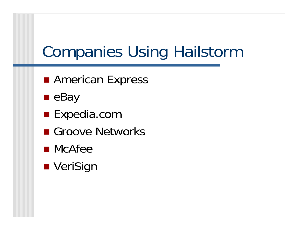# Companies Using Hailstorm

- **RAMERICAN Express**
- $\blacksquare$ eBay
- Expedia.com
- Groove Networks
- McAfee
- VeriSign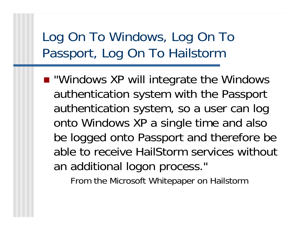#### Log On To Windows, Log On To Passport, Log On To Hailstorm

■ "Windows XP will integrate the Windows authentication system with the Passport authentication system, so a user can log onto Windows XP a single time and also be logged onto Passport and therefore be able to receive HailStorm services without an additional logon process."

From the Microsoft Whitepaper on Hailstorm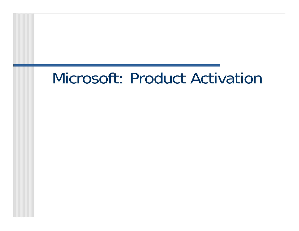# Microsoft: Product Activation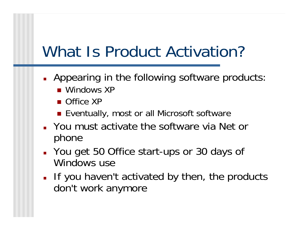# What Is Product Activation?

- **Appearing in the following software products** 
	- Windows XP
	- Office XP
	- Eventually, most or all Microsoft software
- You must activate the software via Net or phone
- You get 50 Office start-ups or 30 days of Windows use
- If you haven't activated by then, the products don't work anymore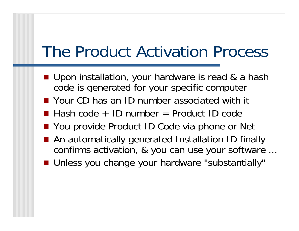# The Product Activation Process

- Upon installation, your hardware is read & a hash code is generated for your specific computer
- **Nour CD has an ID number associated with it**
- Hash code + ID number = Product ID code
- You provide Product ID Code via phone or Net
- An automatically generated Installation ID finally confirms activation, & you can use your software ...
- Unless you change your hardware "substantially"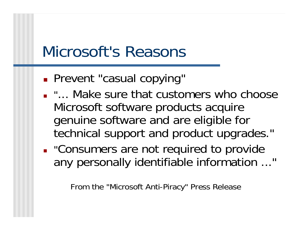# Microsoft's Reasons

- F **Prevent "casual copying"**
- "... Make sure that customers who choose Microsoft software products acquire genuine software and are eligible for technical support and product upgrades."
- **.** "Consumers are not required to provide any personally identifiable information ..."

From the "Microsoft Anti-Piracy" Press Release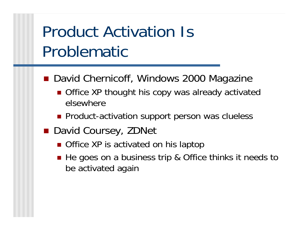# Product Activation Is Problematic

- David Chernicoff, Windows 2000 Magazine
	- Office XP thought his copy was already activated elsewhere
	- **Product-activation support person was clueless**
- David Coursey, ZDNet
	- Office XP is activated on his laptop
	- He goes on a business trip & Office thinks it needs to be activated again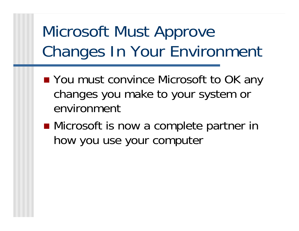# Microsoft Must Approve Changes In Your Environment

- You must convince Microsoft to OK any changes you make to your system or environment
- Microsoft is now a complete partner in how you use your computer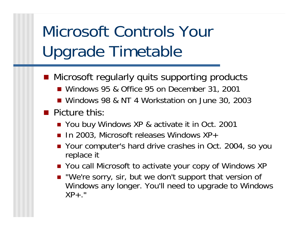# Microsoft Controls Your Upgrade Timetable

- Microsoft regularly quits supporting products ■ Windows 95 & Office 95 on December 31, 2001
	- Windows 98 & NT 4 Workstation on June 30, 2003
- **Picture this** 
	- You buy Windows XP & activate it in Oct. 2001
	- **I** In 2003, Microsoft releases Windows XP+
	- Your computer's hard drive crashes in Oct. 2004, so you replace it
	- You call Microsoft to activate your copy of Windows XP
	- "We're sorry, sir, but we don't support that version of Windows any longer. You'll need to upgrade to Windows  $XP_{+}$ ."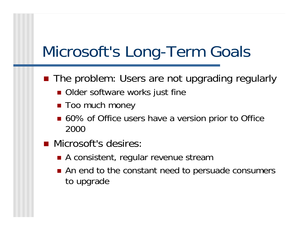# Microsoft's Long-Term Goals

- The problem: Users are not upgrading regularly
	- **Older software works just fine**
	- Too much money
	- 60% of Office users have a version prior to Office 2000
- **Nicrosoft's desires** 
	- A consistent, regular revenue stream
	- An end to the constant need to persuade consumers to upgrade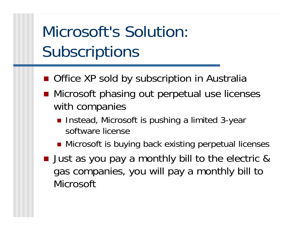# Microsoft's Solution: **Subscriptions**

- Office XP sold by subscription in Australia
- Microsoft phasing out perpetual use licenses with companies
	- Instead, Microsoft is pushing a limited 3-year software license
	- Microsoft is buying back existing perpetual licenses
- **Just as you pay a monthly bill to the electric &** gas companies, you will pay a monthly bill to Microsoft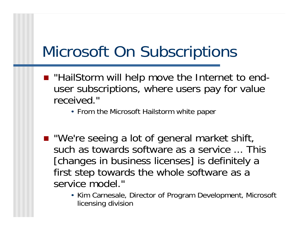# Microsoft On Subscriptions

- "HailStorm will help move the Internet to enduser subscriptions, where users pay for value received."
	- From the Microsoft Hailstorm white paper
- "We're seeing a lot of general market shift, such as towards software as a service ... This [changes in business licenses] is definitely a first step towards the whole software as a service model."
	- Kim Carnesale, Director of Program Development, Microsoft licensing division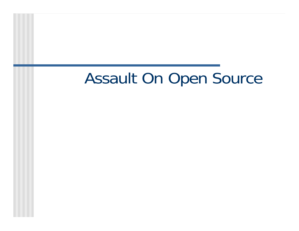# Assault On Open Source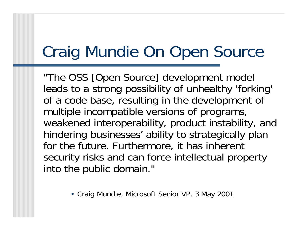# Craig Mundie On Open Source

"The OSS [Open Source] development model leads to a strong possibility of unhealthy 'forking' of a code base, resulting in the development of multiple incompatible versions of programs, weakened interoperability, product instability, and hindering businesses' ability to strategically plan for the future. Furthermore, it has inherent security risks and can force intellectual property into the public domain."

• Craig Mundie, Microsoft Senior VP, 3 May 2001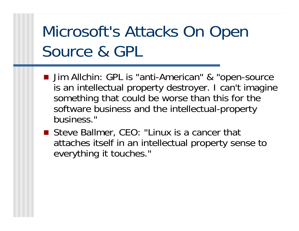# Microsoft's Attacks On Open Source & GPL

- Jim Allchin: GPL is "anti-American" & "open-source is an intellectual property destroyer. I can't imagine something that could be worse than this for the software business and the intellectual-property business."
- Steve Ballmer, CEO: "Linux is a cancer that attaches itself in an intellectual property sense to everything it touches."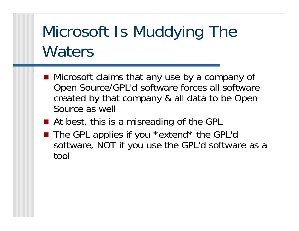# Microsoft Is Muddying The **Waters**

- Microsoft claims that any use by a company of Open Source/GPL'd software forces all software created by that company & all data to be Open Source as well
- At best, this is a misreading of the GPL
- The GPL applies if you \*extend\* the GPL'o software, NOT if you use the GPL'd software as a tool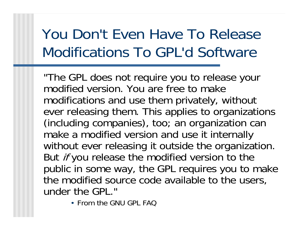### You Don't Even Have To Release Modifications To GPL'd Software

"The GPL does not require you to release your modified version. You are free to make modifications and use them privately, without ever releasing them. This applies to organizations (including companies), too; an organization can make a modified version and use it internally without ever releasing it outside the organization. But *if* you release the modified version to the public in some way, the GPL requires you to make the modified source code available to the users, under the GPL."

• From the GNU GPL FAQ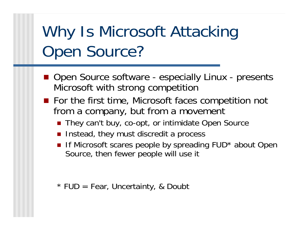# Why Is Microsoft Attacking Open Source?

- Open Source software especially Linux presents Microsoft with strong competition
- For the first time, Microsoft faces competition not from a company, but from a movement
	- They can't buy, co-opt, or intimidate Open Source
	- **n** Instead, they must discredit a process
	- **If Microsoft scares people by spreading FUD\* about Open** Source, then fewer people will use it

\* FUD = Fear, Uncertainty, & Doubt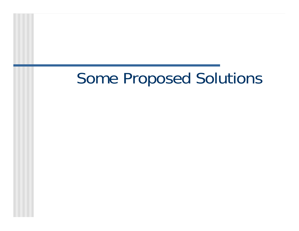# Some Proposed Solutions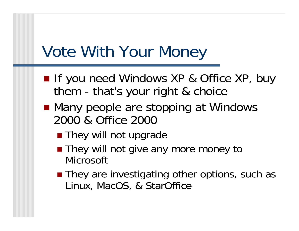# Vote With Your Money

- If you need Windows XP & Office XP, buy them - that's your right & choice
- Many people are stopping at Windows 2000 & Office 2000
	- **They will not upgrade**
	- They will not give any more money to **Microsoft**
	- They are investigating other options, such as Linux, MacOS, & StarOffice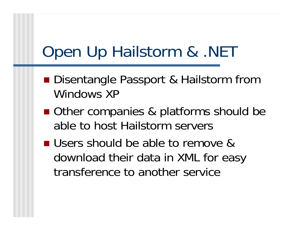# Open Up Hailstorm & .NET

- Disentangle Passport & Hailstorm from Windows XP
- Other companies & platforms should be able to host Hailstorm servers
- Users should be able to remove & download their data in XML for easy transference to another service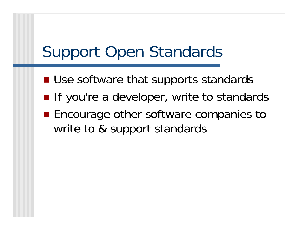# Support Open Standards

- **Use software that supports standards**
- **If you're a developer, write to standards**
- **Encourage other software companies to** write to & support standards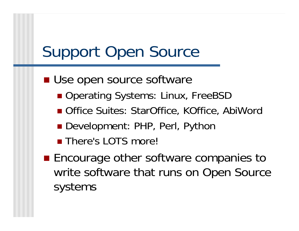# Support Open Source

- **Use open source software** 
	- Operating Systems: Linux, FreeBSD
	- Office Suites: StarOffice, KOffice, AbiWord
	- Development: PHP, Perl, Python
	- **There's LOTS more!**
- **Encourage other software companies to** write software that runs on Open Source systems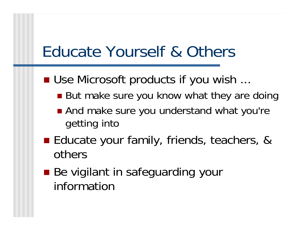# Educate Yourself & Others

- Use Microsoft products if you wish ...
	- But make sure you know what they are doing
	- And make sure you understand what you're getting into
- Educate your family, friends, teachers, & others
- Be vigilant in safeguarding your information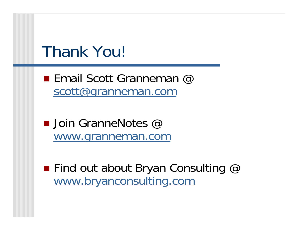# Thank You!

**Email Scott Granneman**  $@$ scott@granneman.com

■ Join GranneNotes @ www.granneman.com

 $\blacksquare$  Find out about Bryan Consulting  $@$ www.bryanconsulting.com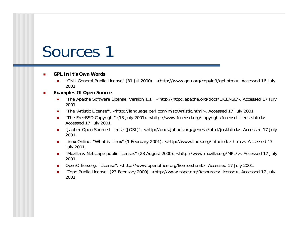#### **GPL In It's Own Words**

■ "GNU General Public License" (31 Jul 2000). <http://www.gnu.org/copyleft/gpl.html>. Accessed 16 July 2001.

#### **Examples Of Open Source**

- The Apache Software License, Version 1.1". <http://httpd.apache.org/docs/LICENSE>. Accessed 17 July 2001.
- "The 'Artistic License'". <http://language.perl.com/misc/Artistic.html>. Accessed 17 July 2001.
- The FreeBSD Copyright" (13 July 2001). <http://www.freebsd.org/copyright/freebsd-license.html>. Accessed 17 July 2001.
- "Jabber Open Source License (JOSL)". <http://docs.jabber.org/general/html/josl.html>. Accessed 17 July 2001.
- Linux Online. "What is Linux" (1 February 2001). <http://www.linux.org/info/index.html>. Accessed 17 July 2001.
- "Mozilla & Netscape public licenses" (23 August 2000). <http://www.mozilla.org/MPL/>. Accessed 17 July 2001.
- OpenOffice.org. "License". <http://www.openoffice.org/license.html>. Accessed 17 July 2001.
- "Zope Public License" (23 February 2000). <http://www.zope.org/Resources/License>. Accessed 17 July 2001.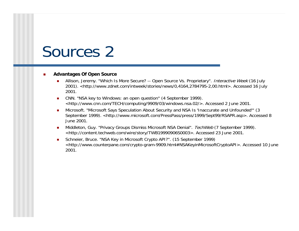#### **Advantages Of Open Source**

- Allison, Jeremy. "Which Is More Secure? -- Open Source Vs. Proprietary". Interactive Week (16 July 2001). <http://www.zdnet.com/intweek/stories/news/0,4164,2784795-2,00.html>. Accessed 16 July 2001.
- **CNN.** "NSA key to Windows: an open question" (4 September 1999). <http://www.cnn.com/TECH/computing/9909/03/windows.nsa.02/>. Accessed 2 June 2001.
- Microsoft. "Microsoft Says Speculation About Security and NSA Is 'Inaccurate and Unfounded'" (3 September 1999). <http://www.microsoft.com/PressPass/press/1999/Sept99/RSAPR.asp>. Accessed 8 June 2001.
- Middleton, Guy. "Privacy Groups Dismiss Microsoft NSA Denial". TechWeb (7 September 1999). <http://content.techweb.com/wire/story/TWB19990906S0003>. Accessed 23 June 2001.
- Schneier, Bruce. "NSA Key in Microsoft Crypto API?". (15 September 1999) <http://www.counterpane.com/crypto-gram-9909.html#NSAKeyinMicrosoftCryptoAPI>. Accessed 10 June 2001.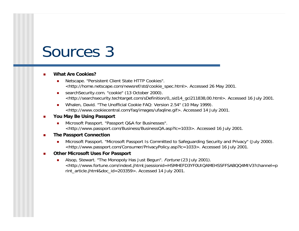- **What Are Cookies?**
	- **Netscape. "Persistent Client State HTTP Cookies".** <http://home.netscape.com/newsref/std/cookie\_spec.html>. Accessed 26 May 2001.
	- searchSecurity.com. "cookie" (13 October 2000). <http://searchsecurity.techtarget.com/sDefinition/0,,sid14\_gci211838,00.html>. Accessed 16 July 2001.
	- Whalen, David. "The Unofficial Cookie FAQ: Version 2.54" (10 May 1999). <http://www.cookiecentral.com/faq/images/ufaqline.gif>. Accessed 14 July 2001.
- **You May Be Using Passport**
	- **Microsoft Passport. "Passport Q&A for Businesses".** <http://www.passport.com/Business/BusinessQA.asp?lc=1033>. Accessed 16 July 2001.
- **The Passport Connection**
	- **Microsoft Passport. "Microsoft Passport Is Committed to Safeguarding Security and Privacy" (July 2000).** <http://www.passport.com/Consumer/PrivacyPolicy.asp?lc=1033>. Accessed 16 July 2001.
- **Other Microsoft Uses For Passport**
	- Alsop, Stewart. "The Monopoly Has Just Begun". *Fortune* (23 July 2001). <http://www.fortune.com/indext.jhtml;jsessionid=HSMHEFD3YF0UIQAMEHSSFFSABQQ4MIV3?channel=p rint\_article.jhtml&doc\_id=203359>. Accessed 14 July 2001.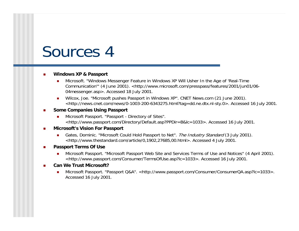#### **Windows XP & Passport**

- Microsoft. "Windows Messenger Feature in Windows XP Will Usher In the Age of 'Real-Time Communication'" (4 June 2001). <http://www.microsoft.com/presspass/features/2001/jun01/06- 04messenger.asp>. Accessed 18 July 2001.
- Wilcox, Joe. "Microsoft pushes Passport in Windows XP". CNET News.com (21 June 2001). <http://news.cnet.com/news/0-1003-200-6343275.html?tag=dd.ne.dtx.nl-sty.0>. Accessed 16 July 2001.
- **Some Companies Using Passport**
	- **Microsoft Passport. "Passport Directory of Sites".** <http://www.passport.com/Directory/Default.asp?PPDir=B&lc=1033>. Accessed 16 July 2001.
- **Microsoft's Vision For Passport**
	- Gates, Dominic. "Microsoft Could Hold Passport to Net". The Industry Standard (3 July 2001). <http://www.thestandard.com/article/0,1902,27685,00.html>. Accessed 4 July 2001.
- **Passport Terms Of Use**
	- **Microsoft Passport. "Microsoft Passport Web Site and Services Terms of Use and Notices" (4 April 2001).** <http://www.passport.com/Consumer/TermsOfUse.asp?lc=1033>. Accessed 16 July 2001.
- **Can We Trust Microsoft?**
	- Microsoft Passport. "Passport Q&A". <http://www.passport.com/Consumer/ConsumerQA.asp?lc=1033>. Accessed 16 July 2001.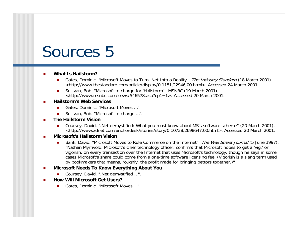- **What Is Hailstorm?**
	- Gates, Dominic. "Microsoft Moves to Turn .Net Into a Reality". *The Industry Standard* (18 March 2001). <http://www.thestandard.com/article/display/0,1151,22946,00.html>. Accessed 24 March 2001.
	- **Sullivan, Bob. "Microsoft to charge for 'Hailstorm'". MSNBC (19 March 2001).** <http://www.msnbc.com/news/546578.asp?cp1=1>. Accessed 20 March 2001.
- **Hailstorm's Web Services**
	- Gates, Dominic. "Microsoft Moves …".
	- Sullivan, Bob. "Microsoft to charge …".
- **The Hailstorm Vision**
	- Coursey, David. ".Net demystified: What you must know about MS's software scheme" (20 March 2001). <http://www.zdnet.com/anchordesk/stories/story/0,10738,2698647,00.html>. Accessed 20 March 2001.
- **Microsoft's Hailstorm Vision**
	- Bank, David. "Microsoft Moves to Rule Commerce on the Internet". The Wall Street Journal (5 June 1997). "Nathan Myrhvold, Microsoft's chief technology officer, confirms that Microsoft hopes to get a 'vig,' or vigorish, on every transaction over the Internet that uses Microsoft's technology, though he says in some cases Microsoft's share could come from a one-time software licensing fee. (Vigorish is a slang term used by bookmakers that means, roughly, the profit made for bringing bettors together.)"
- **Microsoft Needs To Know Everything About You**
	- Coursey, David. ".Net demystified …".
- **How Will Microsoft Get Users?**
	- Gates, Dominic. "Microsoft Moves ...".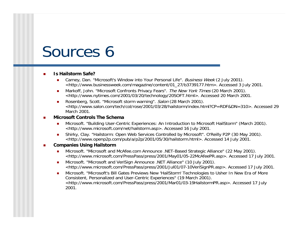#### **Is Hailstorm Safe?**

- Carney, Dan. "Microsoft's Window into Your Personal Life". Business Week (2 July 2001). <http://www.businessweek.com/magazine/content/01\_27/b3739177.htm>. Accessed 3 July 2001.
- Markoff, John. "Microsoft Confronts Privacy Fears". The New York Times (20 March 2001). <http://www.nytimes.com/2001/03/20/technology/20SOFT.html>. Accessed 20 March 2001.
- Rosenberg, Scott. "Microsoft storm warning". Salon (28 March 2001). <http://www.salon.com/tech/col/rose/2001/03/28/hailstorm/index.html?CP=RDF&DN=310>. Accessed 29 March 2001.

#### **Microsoft Controls The Schema**

- **Microsoft. "Building User-Centric Experiences: An Introduction to Microsoft HailStorm" (March 2001).** <http://www.microsoft.com/net/hailstorm.asp>. Accessed 16 July 2001.
- Shirky, Clay. "Hailstorm: Open Web Services Controlled by Microsoft". O'Reilly P2P (30 May 2001). <http://www.openp2p.com/pub/a/p2p/2001/05/30/hailstorm.html>. Accessed 14 July 2001.
- **Companies Using Hailstorm**
	- Microsoft. "Microsoft and McAfee.com Announce .NET-Based Strategic Alliance" (22 May 2001). <http://www.microsoft.com/PressPass/press/2001/May01/05-22McAfeePR.asp>. Accessed 17 July 2001.
	- **Microsoft. "Microsoft and VeriSign Announce .NET Alliance" (10 July 2001).** <http://www.microsoft.com/PressPass/press/2001/Jul01/07-10VeriSignPR.asp>. Accessed 17 July 2001.
	- **Microsoft. "Microsoft's Bill Gates Previews New 'HailStorm' Technologies to Usher In New Era of More** Consistent, Personalized and User-Centric Experiences" (19 March 2001). <http://www.microsoft.com/PressPass/press/2001/Mar01/03-19HailstormPR.asp>. Accessed 17 July 2001.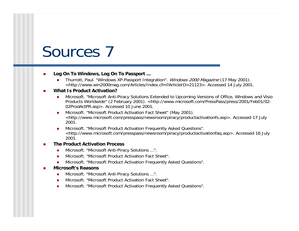- **Log On To Windows, Log On To Passport …**
	- Thurrott, Paul. "Windows XP-Passport Integration". Windows 2000 Magazine (17 May 2001). <http://www.win2000mag.com/Articles/Index.cfm?ArticleID=21123>. Accessed 14 July 2001.

#### **What Is Product Activation?**

- **Microsoft. "Microsoft Anti-Piracy Solutions Extended to Upcoming Versions of Office, Windows and Visio** Products Worldwide" (2 February 2001). <http://www.microsoft.com/PressPass/press/2001/Feb01/02- 02ProdActPR.asp>. Accessed 10 June 2001.
- **Microsoft. "Microsoft Product Activation Fact Sheet" (May 2001).** <http://www.microsoft.com/presspass/newsroom/piracy/productactivationfs.asp>. Accessed 17 July 2001.
- Microsoft. "Microsoft Product Activation Frequently Asked Questions". <http://www.microsoft.com/presspass/newsroom/piracy/productactivationfaq.asp>. Accessed 16 July 2001.

#### **The Product Activation Process**

- Microsoft. "Microsoft Anti-Piracy Solutions ...".
- **Microsoft. "Microsoft Product Activation Fact Sheet".**
- **Microsoft. "Microsoft Product Activation Frequently Asked Questions".**

#### **Microsoft's Reasons**

- Microsoft. "Microsoft Anti-Piracy Solutions ...".
- Microsoft. "Microsoft Product Activation Fact Sheet".
- **Microsoft. "Microsoft Product Activation Frequently Asked Questions".**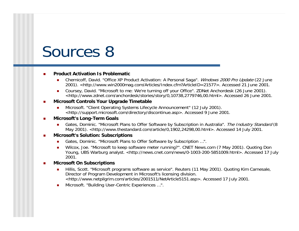**Product Activation Is Problematic**

- Chernicoff, David. "Office XP Product Activation: A Personal Saga". Windows 2000 Pro Update (22 June 2001). <http://www.win2000mag.com/Articles/Index.cfm?ArticleID=21577>. Accessed 21 June 2001.
- Coursey, David. "Microsoft to me: We're turning off your Office". ZDNet Anchordesk (26 June 2001). <http://www.zdnet.com/anchordesk/stories/story/0,10738,2779746,00.html>. Accessed 26 June 2001.

#### **Microsoft Controls Your Upgrade Timetable**

**Microsoft.** "Client Operating Systems Lifecycle Announcement" (12 July 2001). <http://support.microsoft.com/directory/discontinue.asp>. Accessed 9 June 2001.

#### **Microsoft's Long-Term Goals**

Gates, Dominic. "Microsoft Plans to Offer Software by Subscription in Australia". The Industry Standard (8 May 2001). <http://www.thestandard.com/article/0,1902,24298,00.html>. Accessed 14 July 2001.

#### **Microsoft's Solution: Subscriptions**

- Gates, Dominic. "Microsoft Plans to Offer Software by Subscription ...".
- Wilcox, Joe. "Microsoft to keep software meter running?". CNET News.com (7 May 2001). Quoting Don Young, UBS Warburg analyst. <http://news.cnet.com/news/0-1003-200-5851009.html>. Accessed 17 July 2001.
- **Microsoft On Subscriptions**
	- Hillis, Scott. "Microsoft programs software as service". Reuters (11 May 2001). Quoting Kim Carnesale, Director of Program Development in Microsoft's licensing division. <http://www.netpilgrim.com/articles/2001511/NetArticle5151.asp>. Accessed 17 July 2001.
	- Microsoft. "Building User-Centric Experiences ...".